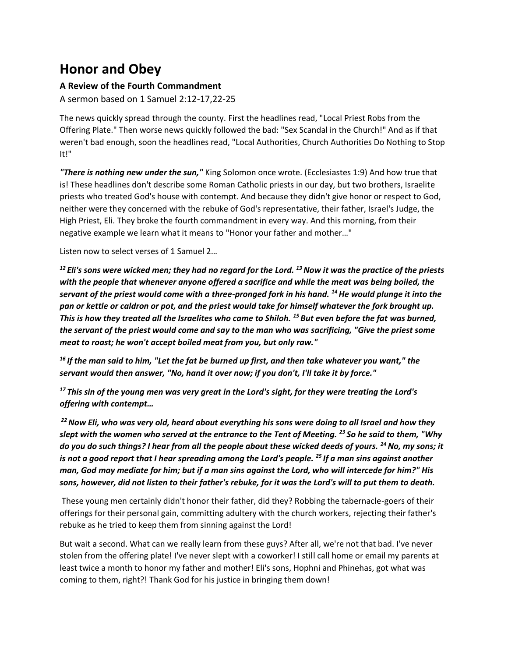## **Honor and Obey**

## **A Review of the Fourth Commandment**

A sermon based on 1 Samuel 2:12-17,22-25

The news quickly spread through the county. First the headlines read, "Local Priest Robs from the Offering Plate." Then worse news quickly followed the bad: "Sex Scandal in the Church!" And as if that weren't bad enough, soon the headlines read, "Local Authorities, Church Authorities Do Nothing to Stop It!"

*"There is nothing new under the sun,"* King Solomon once wrote. (Ecclesiastes 1:9) And how true that is! These headlines don't describe some Roman Catholic priests in our day, but two brothers, Israelite priests who treated God's house with contempt. And because they didn't give honor or respect to God, neither were they concerned with the rebuke of God's representative, their father, Israel's Judge, the High Priest, Eli. They broke the fourth commandment in every way. And this morning, from their negative example we learn what it means to "Honor your father and mother…"

Listen now to select verses of 1 Samuel 2…

*<sup>12</sup> Eli's sons were wicked men; they had no regard for the Lord. <sup>13</sup>Now it was the practice of the priests with the people that whenever anyone offered a sacrifice and while the meat was being boiled, the servant of the priest would come with a three-pronged fork in his hand. <sup>14</sup>He would plunge it into the pan or kettle or caldron or pot, and the priest would take for himself whatever the fork brought up. This is how they treated all the Israelites who came to Shiloh. <sup>15</sup> But even before the fat was burned, the servant of the priest would come and say to the man who was sacrificing, "Give the priest some meat to roast; he won't accept boiled meat from you, but only raw."*

*<sup>16</sup> If the man said to him, "Let the fat be burned up first, and then take whatever you want," the servant would then answer, "No, hand it over now; if you don't, I'll take it by force."*

*<sup>17</sup> This sin of the young men was very great in the Lord's sight, for they were treating the Lord's offering with contempt…*

*<sup>22</sup>Now Eli, who was very old, heard about everything his sons were doing to all Israel and how they slept with the women who served at the entrance to the Tent of Meeting. <sup>23</sup> So he said to them, "Why do you do such things? I hear from all the people about these wicked deeds of yours. <sup>24</sup>No, my sons; it is not a good report that I hear spreading among the Lord's people. <sup>25</sup> If a man sins against another man, God may mediate for him; but if a man sins against the Lord, who will intercede for him?" His sons, however, did not listen to their father's rebuke, for it was the Lord's will to put them to death.*

These young men certainly didn't honor their father, did they? Robbing the tabernacle-goers of their offerings for their personal gain, committing adultery with the church workers, rejecting their father's rebuke as he tried to keep them from sinning against the Lord!

But wait a second. What can we really learn from these guys? After all, we're not that bad. I've never stolen from the offering plate! I've never slept with a coworker! I still call home or email my parents at least twice a month to honor my father and mother! Eli's sons, Hophni and Phinehas, got what was coming to them, right?! Thank God for his justice in bringing them down!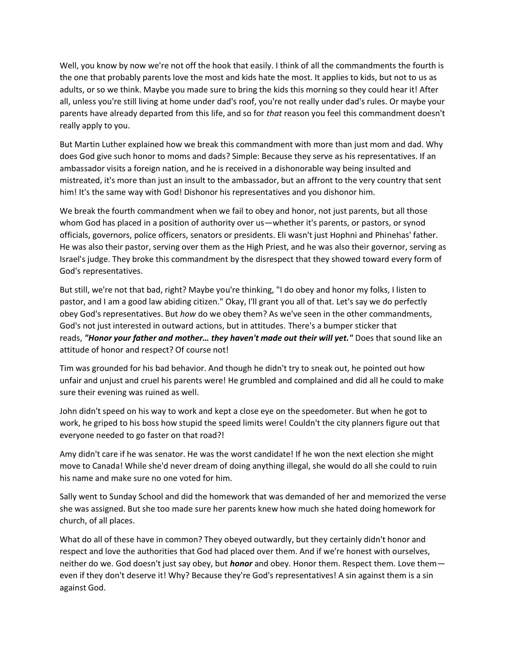Well, you know by now we're not off the hook that easily. I think of all the commandments the fourth is the one that probably parents love the most and kids hate the most. It applies to kids, but not to us as adults, or so we think. Maybe you made sure to bring the kids this morning so they could hear it! After all, unless you're still living at home under dad's roof, you're not really under dad's rules. Or maybe your parents have already departed from this life, and so for *that* reason you feel this commandment doesn't really apply to you.

But Martin Luther explained how we break this commandment with more than just mom and dad. Why does God give such honor to moms and dads? Simple: Because they serve as his representatives. If an ambassador visits a foreign nation, and he is received in a dishonorable way being insulted and mistreated, it's more than just an insult to the ambassador, but an affront to the very country that sent him! It's the same way with God! Dishonor his representatives and you dishonor him.

We break the fourth commandment when we fail to obey and honor, not just parents, but all those whom God has placed in a position of authority over us—whether it's parents, or pastors, or synod officials, governors, police officers, senators or presidents. Eli wasn't just Hophni and Phinehas' father. He was also their pastor, serving over them as the High Priest, and he was also their governor, serving as Israel's judge. They broke this commandment by the disrespect that they showed toward every form of God's representatives.

But still, we're not that bad, right? Maybe you're thinking, "I do obey and honor my folks, I listen to pastor, and I am a good law abiding citizen." Okay, I'll grant you all of that. Let's say we do perfectly obey God's representatives. But *how* do we obey them? As we've seen in the other commandments, God's not just interested in outward actions, but in attitudes. There's a bumper sticker that reads, *"Honor your father and mother… they haven't made out their will yet."* Does that sound like an attitude of honor and respect? Of course not!

Tim was grounded for his bad behavior. And though he didn't try to sneak out, he pointed out how unfair and unjust and cruel his parents were! He grumbled and complained and did all he could to make sure their evening was ruined as well.

John didn't speed on his way to work and kept a close eye on the speedometer. But when he got to work, he griped to his boss how stupid the speed limits were! Couldn't the city planners figure out that everyone needed to go faster on that road?!

Amy didn't care if he was senator. He was the worst candidate! If he won the next election she might move to Canada! While she'd never dream of doing anything illegal, she would do all she could to ruin his name and make sure no one voted for him.

Sally went to Sunday School and did the homework that was demanded of her and memorized the verse she was assigned. But she too made sure her parents knew how much she hated doing homework for church, of all places.

What do all of these have in common? They obeyed outwardly, but they certainly didn't honor and respect and love the authorities that God had placed over them. And if we're honest with ourselves, neither do we. God doesn't just say obey, but *honor* and obey. Honor them. Respect them. Love them even if they don't deserve it! Why? Because they're God's representatives! A sin against them is a sin against God.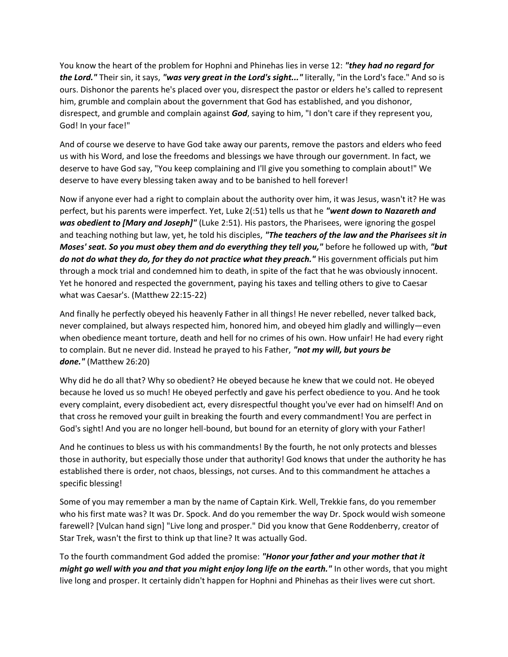You know the heart of the problem for Hophni and Phinehas lies in verse 12: *"they had no regard for the Lord."* Their sin, it says, *"was very great in the Lord's sight..."* literally, "in the Lord's face." And so is ours. Dishonor the parents he's placed over you, disrespect the pastor or elders he's called to represent him, grumble and complain about the government that God has established, and you dishonor, disrespect, and grumble and complain against *God*, saying to him, "I don't care if they represent you, God! In your face!"

And of course we deserve to have God take away our parents, remove the pastors and elders who feed us with his Word, and lose the freedoms and blessings we have through our government. In fact, we deserve to have God say, "You keep complaining and I'll give you something to complain about!" We deserve to have every blessing taken away and to be banished to hell forever!

Now if anyone ever had a right to complain about the authority over him, it was Jesus, wasn't it? He was perfect, but his parents were imperfect. Yet, Luke 2(:51) tells us that he *"went down to Nazareth and*  was obedient to [Mary and Joseph]" (Luke 2:51). His pastors, the Pharisees, were ignoring the gospel and teaching nothing but law, yet, he told his disciples, *"The teachers of the law and the Pharisees sit in Moses' seat. So you must obey them and do everything they tell you,"* before he followed up with, *"but do not do what they do, for they do not practice what they preach."* His government officials put him through a mock trial and condemned him to death, in spite of the fact that he was obviously innocent. Yet he honored and respected the government, paying his taxes and telling others to give to Caesar what was Caesar's. (Matthew 22:15-22)

And finally he perfectly obeyed his heavenly Father in all things! He never rebelled, never talked back, never complained, but always respected him, honored him, and obeyed him gladly and willingly—even when obedience meant torture, death and hell for no crimes of his own. How unfair! He had every right to complain. But ne never did. Instead he prayed to his Father, *"not my will, but yours be done."* (Matthew 26:20)

Why did he do all that? Why so obedient? He obeyed because he knew that we could not. He obeyed because he loved us so much! He obeyed perfectly and gave his perfect obedience to you. And he took every complaint, every disobedient act, every disrespectful thought you've ever had on himself! And on that cross he removed your guilt in breaking the fourth and every commandment! You are perfect in God's sight! And you are no longer hell-bound, but bound for an eternity of glory with your Father!

And he continues to bless us with his commandments! By the fourth, he not only protects and blesses those in authority, but especially those under that authority! God knows that under the authority he has established there is order, not chaos, blessings, not curses. And to this commandment he attaches a specific blessing!

Some of you may remember a man by the name of Captain Kirk. Well, Trekkie fans, do you remember who his first mate was? It was Dr. Spock. And do you remember the way Dr. Spock would wish someone farewell? [Vulcan hand sign] "Live long and prosper." Did you know that Gene Roddenberry, creator of Star Trek, wasn't the first to think up that line? It was actually God.

To the fourth commandment God added the promise: *"Honor your father and your mother that it might go well with you and that you might enjoy long life on the earth."* In other words, that you might live long and prosper. It certainly didn't happen for Hophni and Phinehas as their lives were cut short.